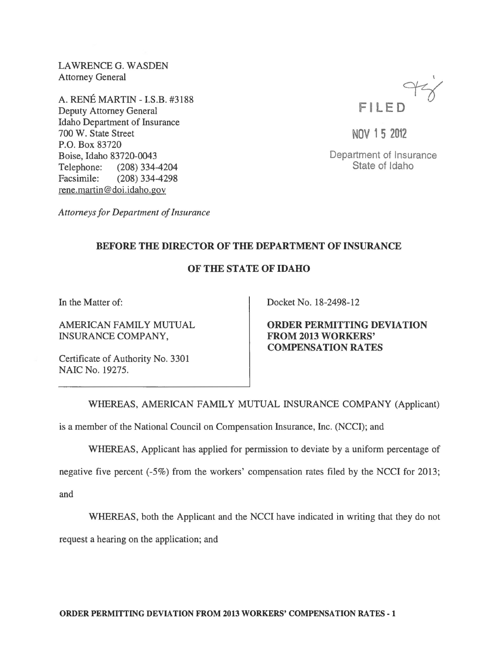LAWRENCE G. WASDEN Attorney General

A. RENE MARTIN -I.S.B. #3188 Deputy Attorney General Idaho Department of Insurance 700 W. State Street P.O. Box 83720 Boise, Idaho 83720-0043 Telephone: (208) 334-4204 Facsimile: (208) 334-4298 rene.martin @doi.idaho.gov



NOV 15 2012

Department of Insurance State of Idaho

*Attorneys for Department of Insurance* 

## BEFORE THE DIRECTOR OF THE DEPARTMENT OF INSURANCE

## OF THE STATE OF IDAHO

In the Matter of:

AMERICAN FAMILY MUTUAL INSURANCE COMPANY,

Certificate of Authority No. 3301 NAIC No. 19275.

Docket No. 18-2498-12

ORDER PERMITTING DEVIATION FROM 2013 WORKERS' COMPENSATION RATES

WHEREAS, AMERICAN FAMILY MUTUAL INSURANCE COMPANY (Applicant)

is a member of the National Council on Compensation Insurance, Inc. (NCCI); and

WHEREAS, Applicant has applied for permission to deviate by a uniform percentage of

negative five percent (-5%) from the workers' compensation rates filed by the NCCI for 2013;

and

WHEREAS, both the Applicant and the NCCI have indicated in writing that they do not

request a hearing on the application; and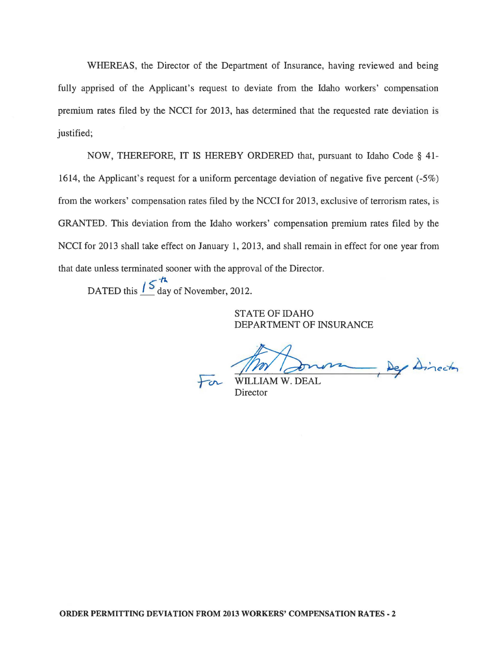WHEREAS, the Director of the Department of Insurance, having reviewed and being fully apprised of the Applicant's request to deviate from the Idaho workers' compensation premium rates filed by the NCCI for 2013, has determined that the requested rate deviation is justified;

NOW, THEREFORE, IT IS HEREBY ORDERED that, pursuant to Idaho Code § 41- 1614, the Applicant's request for a uniform percentage deviation of negative five percent (-5%) from the workers' compensation rates filed by the NCCI for 2013, exclusive of terrorism rates, is GRANTED. This deviation from the Idaho workers' compensation premium rates filed by the NCCI for 2013 shall take effect on January 1, 2013, and shall remain in effect for one year from that date unless terminated sooner with the approval of the Director.

 $-*h*$ DATED this  $\frac{1}{2}$  day of November, 2012.

> STATE OF IDAHO DEPARTMENT OF INSURANCE

Dep Dinector

**Director**